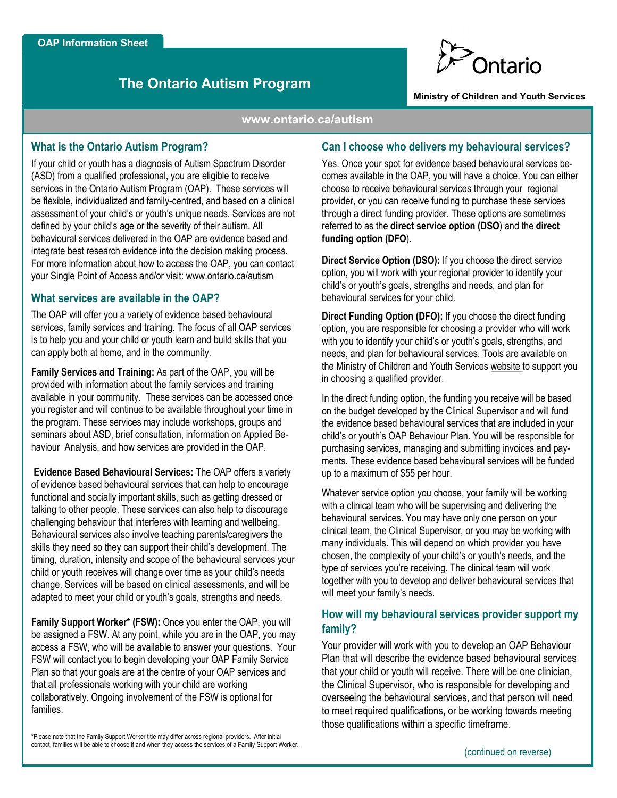# **The Ontario Autism Program**



#### **Ministry of Children and Youth Services**

#### **www.ontario.ca/autism**

## **What is the Ontario Autism Program?**

If your child or youth has a diagnosis of Autism Spectrum Disorder (ASD) from a qualified professional, you are eligible to receive services in the Ontario Autism Program (OAP). These services will be flexible, individualized and family-centred, and based on a clinical assessment of your child's or youth's unique needs. Services are not defined by your child's age or the severity of their autism. All behavioural services delivered in the OAP are evidence based and integrate best research evidence into the decision making process. For more information about how to access the OAP, you can contact your Single Point of Access and/or visit: www.ontario.ca/autism

## **What services are available in the OAP?**

The OAP will offer you a variety of evidence based behavioural services, family services and training. The focus of all OAP services is to help you and your child or youth learn and build skills that you can apply both at home, and in the community.

**Family Services and Training:** As part of the OAP, you will be provided with information about the family services and training available in your community. These services can be accessed once you register and will continue to be available throughout your time in the program. These services may include workshops, groups and seminars about ASD, brief consultation, information on Applied Behaviour Analysis, and how services are provided in the OAP.

**Evidence Based Behavioural Services:** The OAP offers a variety of evidence based behavioural services that can help to encourage functional and socially important skills, such as getting dressed or talking to other people. These services can also help to discourage challenging behaviour that interferes with learning and wellbeing. Behavioural services also involve teaching parents/caregivers the skills they need so they can support their child's development. The timing, duration, intensity and scope of the behavioural services your child or youth receives will change over time as your child's needs change. Services will be based on clinical assessments, and will be adapted to meet your child or youth's goals, strengths and needs.

**Family Support Worker\* (FSW):** Once you enter the OAP, you will be assigned a FSW. At any point, while you are in the OAP, you may access a FSW, who will be available to answer your questions. Your FSW will contact you to begin developing your OAP Family Service Plan so that your goals are at the centre of your OAP services and that all professionals working with your child are working collaboratively. Ongoing involvement of the FSW is optional for families.

\*Please note that the Family Support Worker title may differ across regional providers. After initial contact, families will be able to choose if and when they access the services of a Family Support Worker.

### **Can I choose who delivers my behavioural services?**

Yes. Once your spot for evidence based behavioural services becomes available in the OAP, you will have a choice. You can either choose to receive behavioural services through your regional provider, or you can receive funding to purchase these services through a direct funding provider. These options are sometimes referred to as the **direct service option (DSO**) and the **direct funding option (DFO**).

**Direct Service Option (DSO):** If you choose the direct service option, you will work with your regional provider to identify your child's or youth's goals, strengths and needs, and plan for behavioural services for your child.

**Direct Funding Option (DFO):** If you choose the direct funding option, you are responsible for choosing a provider who will work with you to identify your child's or youth's goals, strengths, and needs, and plan for behavioural services. Tools are available on the Ministry of Children and Youth Services website to support you in choosing a qualified provider.

In the direct funding option, the funding you receive will be based on the budget developed by the Clinical Supervisor and will fund the evidence based behavioural services that are included in your child's or youth's OAP Behaviour Plan. You will be responsible for purchasing services, managing and submitting invoices and payments. These evidence based behavioural services will be funded up to a maximum of \$55 per hour.

Whatever service option you choose, your family will be working with a clinical team who will be supervising and delivering the behavioural services. You may have only one person on your clinical team, the Clinical Supervisor, or you may be working with many individuals. This will depend on which provider you have chosen, the complexity of your child's or youth's needs, and the type of services you're receiving. The clinical team will work together with you to develop and deliver behavioural services that will meet your family's needs.

# **How will my behavioural services provider support my family?**

Your provider will work with you to develop an OAP Behaviour Plan that will describe the evidence based behavioural services that your child or youth will receive. There will be one clinician, the Clinical Supervisor, who is responsible for developing and overseeing the behavioural services, and that person will need to meet required qualifications, or be working towards meeting those qualifications within a specific timeframe.